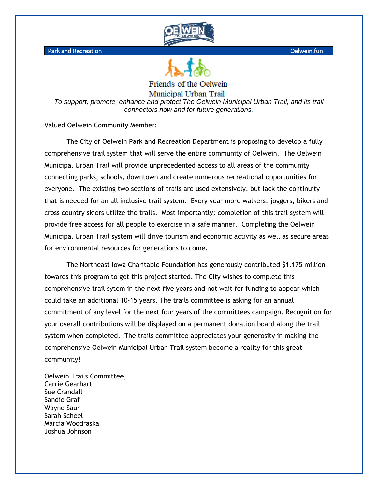

Park and Recreation **Oelwein.fun** 



Friends of the Oelwein Municipal Urban Trail

*To support, promote, enhance and protect The Oelwein Municipal Urban Trail, and its trail connectors now and for future generations.*

Valued Oelwein Community Member:

The City of Oelwein Park and Recreation Department is proposing to develop a fully comprehensive trail system that will serve the entire community of Oelwein. The Oelwein Municipal Urban Trail will provide unprecedented access to all areas of the community connecting parks, schools, downtown and create numerous recreational opportunities for everyone. The existing two sections of trails are used extensively, but lack the continuity that is needed for an all inclusive trail system. Every year more walkers, joggers, bikers and cross country skiers utilize the trails. Most importantly; completion of this trail system will provide free access for all people to exercise in a safe manner. Completing the Oelwein Municipal Urban Trail system will drive tourism and economic activity as well as secure areas for environmental resources for generations to come.

The Northeast Iowa Charitable Foundation has generously contributed \$1.175 million towards this program to get this project started. The City wishes to complete this comprehensive trail sytem in the next five years and not wait for funding to appear which could take an additional 10-15 years. The trails committee is asking for an annual commitment of any level for the next four years of the committees campaign. Recognition for your overall contributions will be displayed on a permanent donation board along the trail system when completed. The trails committee appreciates your generosity in making the comprehensive Oelwein Municipal Urban Trail system become a reality for this great community!

Oelwein Trails Committee, Carrie Gearhart Sue Crandall Sandie Graf Wayne Saur Sarah Scheel Marcia Woodraska Joshua Johnson